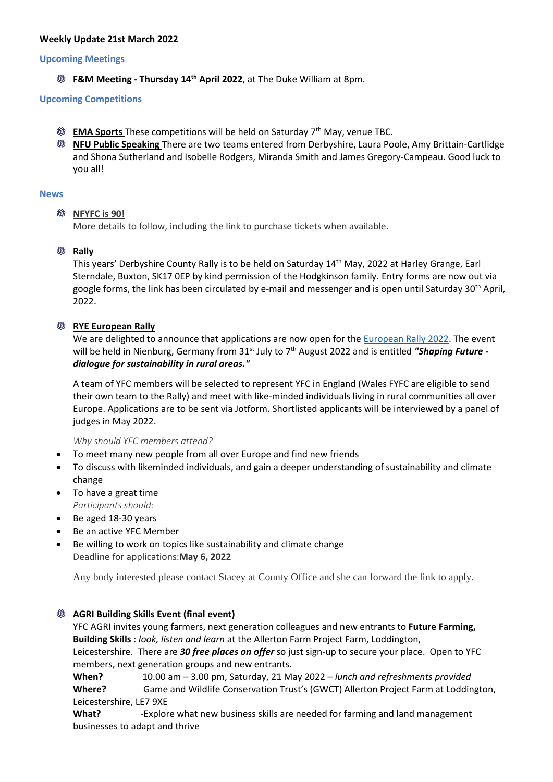## **Weekly Update 21st March 2022**

#### **Upcoming Meetings**

**F&M Meeting - Thursday 14 th April 2022**, at The Duke William at 8pm.

### **Upcoming Competitions**

- **EMA Sports** These competitions will be held on Saturday 7<sup>th</sup> May, venue TBC.
- **NFU Public Speaking** There are two teams entered from Derbyshire, Laura Poole, Amy Brittain-Cartlidge and Shona Sutherland and Isobelle Rodgers, Miranda Smith and James Gregory-Campeau. Good luck to you all!

### **News**

### **NFYFC is 90!**

More details to follow, including the link to purchase tickets when available.

## **Rally**

This years' Derbyshire County Rally is to be held on Saturday 14<sup>th</sup> May, 2022 at Harley Grange, Earl Sterndale, Buxton, SK17 0EP by kind permission of the Hodgkinson family. Entry forms are now out via google forms, the link has been circulated by e-mail and messenger and is open until Saturday 30<sup>th</sup> April, 2022.

## **<b>***<b>W* RYE European Rally

We are delighted to announce that applications are now open for the [European Rally 2022.](http://nfyfc.org.uk/EuropeanRally2022) The event will be held in Nienburg, Germany from 31<sup>st</sup> July to 7<sup>th</sup> August 2022 and is entitled **"Shaping Future** *dialogue for sustainability in rural areas."*

A team of YFC members will be selected to represent YFC in England (Wales FYFC are eligible to send their own team to the Rally) and meet with like-minded individuals living in rural communities all over Europe. Applications are to be sent via Jotform. Shortlisted applicants will be interviewed by a panel of judges in May 2022.

*Why should YFC members attend?*

- To meet many new people from all over Europe and find new friends
- To discuss with likeminded individuals, and gain a deeper understanding of sustainability and climate change
- To have a great time *Participants should:*
- Be aged 18-30 years
- Be an active YFC Member
- Be willing to work on topics like sustainability and climate change Deadline for applications:**May 6, 2022**

Any body interested please contact Stacey at County Office and she can forward the link to apply.

# **AGRI Building Skills Event (final event)**

YFC AGRI invites young farmers, next generation colleagues and new entrants to **Future Farming, Building Skills** : *look, listen and learn* at the Allerton Farm Project Farm, Loddington, Leicestershire. There are *30 free places on offer* so just sign-up to secure your place. Open to YFC members, next generation groups and new entrants.

**When?** 10.00 am – 3.00 pm, Saturday, 21 May 2022 – *lunch and refreshments provided* **Where?** Game and Wildlife Conservation Trust's (GWCT) Allerton Project Farm at Loddington, Leicestershire, LE7 9XE

**What?** -Explore what new business skills are needed for farming and land management businesses to adapt and thrive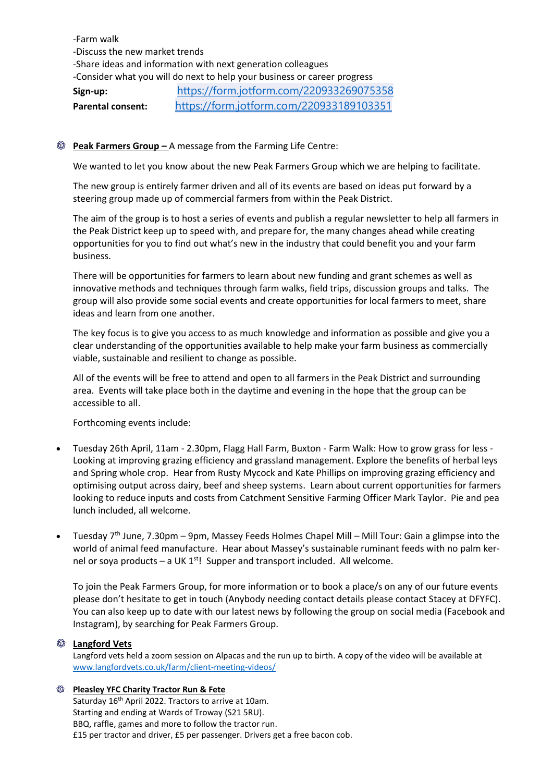# -Farm walk -Discuss the new market trends

-Share ideas and information with next generation colleagues

-Consider what you will do next to help your business or career progress

**Sign-up:** <https://form.jotform.com/220933269075358>

**Parental consent:** <https://form.jotform.com/220933189103351>

# **<sup><b>** $\circledR$  **Peak Farmers Group** – A message from the Farming Life Centre:</sup>

We wanted to let you know about the new Peak Farmers Group which we are helping to facilitate.

The new group is entirely farmer driven and all of its events are based on ideas put forward by a steering group made up of commercial farmers from within the Peak District.

The aim of the group is to host a series of events and publish a regular newsletter to help all farmers in the Peak District keep up to speed with, and prepare for, the many changes ahead while creating opportunities for you to find out what's new in the industry that could benefit you and your farm business.

There will be opportunities for farmers to learn about new funding and grant schemes as well as innovative methods and techniques through farm walks, field trips, discussion groups and talks. The group will also provide some social events and create opportunities for local farmers to meet, share ideas and learn from one another.

The key focus is to give you access to as much knowledge and information as possible and give you a clear understanding of the opportunities available to help make your farm business as commercially viable, sustainable and resilient to change as possible.

All of the events will be free to attend and open to all farmers in the Peak District and surrounding area. Events will take place both in the daytime and evening in the hope that the group can be accessible to all.

Forthcoming events include:

- Tuesday 26th April, 11am 2.30pm, Flagg Hall Farm, Buxton Farm Walk: How to grow grass for less Looking at improving grazing efficiency and grassland management. Explore the benefits of herbal leys and Spring whole crop. Hear from Rusty Mycock and Kate Phillips on improving grazing efficiency and optimising output across dairy, beef and sheep systems. Learn about current opportunities for farmers looking to reduce inputs and costs from Catchment Sensitive Farming Officer Mark Taylor. Pie and pea lunch included, all welcome.
- Tuesday 7th June, 7.30pm 9pm, Massey Feeds Holmes Chapel Mill Mill Tour: Gain a glimpse into the world of animal feed manufacture. Hear about Massey's sustainable ruminant feeds with no palm kernel or soya products – a UK  $1^{st}$ ! Supper and transport included. All welcome.

To join the Peak Farmers Group, for more information or to book a place/s on any of our future events please don't hesitate to get in touch (Anybody needing contact details please contact Stacey at DFYFC). You can also keep up to date with our latest news by following the group on social media (Facebook and Instagram), by searching for Peak Farmers Group.

### **Langford Vets**

Langford vets held a zoom session on Alpacas and the run up to birth. A copy of the video will be available at [www.langfordvets.co.uk/farm/client-meeting-videos/](http://www.langfordvets.co.uk/farm/client-meeting-videos/)

# **<sup><b>&</sup>** Pleasley YFC Charity Tractor Run & Fete</sup>

Saturday 16<sup>th</sup> April 2022. Tractors to arrive at 10am. Starting and ending at Wards of Troway (S21 5RU). BBQ, raffle, games and more to follow the tractor run. £15 per tractor and driver, £5 per passenger. Drivers get a free bacon cob.